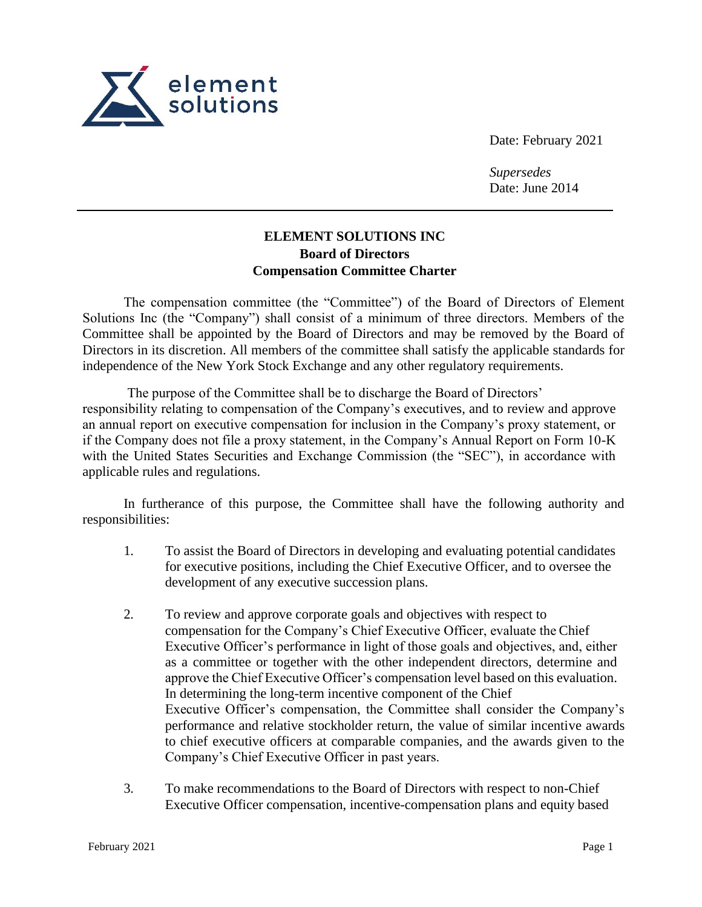

Date: February 2021

*Supersedes* Date: June 2014

## **ELEMENT SOLUTIONS INC Board of Directors Compensation Committee Charter**

The compensation committee (the "Committee") of the Board of Directors of Element Solutions Inc (the "Company") shall consist of a minimum of three directors. Members of the Committee shall be appointed by the Board of Directors and may be removed by the Board of Directors in its discretion. All members of the committee shall satisfy the applicable standards for independence of the New York Stock Exchange and any other regulatory requirements.

The purpose of the Committee shall be to discharge the Board of Directors' responsibility relating to compensation of the Company's executives, and to review and approve an annual report on executive compensation for inclusion in the Company's proxy statement, or if the Company does not file a proxy statement, in the Company's Annual Report on Form 10-K with the United States Securities and Exchange Commission (the "SEC"), in accordance with applicable rules and regulations.

In furtherance of this purpose, the Committee shall have the following authority and responsibilities:

- 1. To assist the Board of Directors in developing and evaluating potential candidates for executive positions, including the Chief Executive Officer, and to oversee the development of any executive succession plans.
- 2. To review and approve corporate goals and objectives with respect to compensation for the Company's Chief Executive Officer, evaluate the Chief Executive Officer's performance in light of those goals and objectives, and, either as a committee or together with the other independent directors, determine and approve the Chief Executive Officer's compensation level based on this evaluation. In determining the long-term incentive component of the Chief Executive Officer's compensation, the Committee shall consider the Company's performance and relative stockholder return, the value of similar incentive awards to chief executive officers at comparable companies, and the awards given to the Company's Chief Executive Officer in past years.
- 3. To make recommendations to the Board of Directors with respect to non-Chief Executive Officer compensation, incentive-compensation plans and equity based